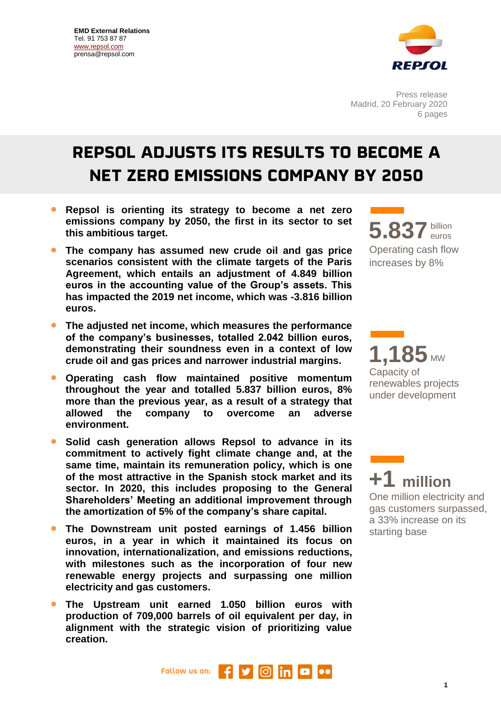

Press release Madrid, 20 February 2020 6 pages

## **REPSOL ADJUSTS ITS RESULTS TO BECOME A NET ZERO EMISSIONS COMPANY BY 2050**

- **Repsol is orienting its strategy to become a net zero emissions company by 2050, the first in its sector to set this ambitious target.**
- **The company has assumed new crude oil and gas price scenarios consistent with the climate targets of the Paris Agreement, which entails an adjustment of 4.849 billion euros in the accounting value of the Group's assets. This has impacted the 2019 net income, which was -3.816 billion euros.**
- **The adjusted net income, which measures the performance of the company's businesses, totalled 2.042 billion euros, demonstrating their soundness even in a context of low crude oil and gas prices and narrower industrial margins.**
- **Operating cash flow maintained positive momentum throughout the year and totalled 5.837 billion euros, 8% more than the previous year, as a result of a strategy that allowed the company to overcome an adverse environment.**
- **Solid cash generation allows Repsol to advance in its commitment to actively fight climate change and, at the same time, maintain its remuneration policy, which is one of the most attractive in the Spanish stock market and its sector. In 2020, this includes proposing to the General Shareholders' Meeting an additional improvement through the amortization of 5% of the company's share capital.**
- **The Downstream unit posted earnings of 1.456 billion euros, in a year in which it maintained its focus on innovation, internationalization, and emissions reductions, with milestones such as the incorporation of four new renewable energy projects and surpassing one million electricity and gas customers.**
- **The Upstream unit earned 1.050 billion euros with production of 709,000 barrels of oil equivalent per day, in alignment with the strategic vision of prioritizing value creation.**

billion **5.837**euros Operating cash flow increases by 8%

**1,185** MW Capacity of renewables projects under development

**+1 million** One million electricity and gas customers surpassed, a 33% increase on its starting base

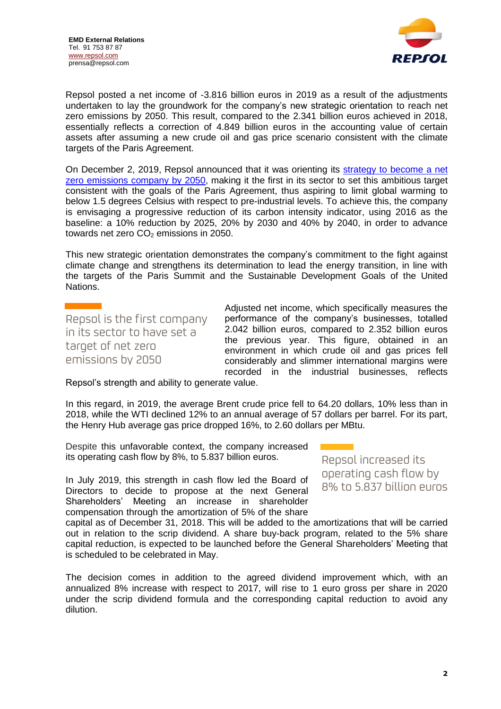

Repsol posted a net income of -3.816 billion euros in 2019 as a result of the adjustments undertaken to lay the groundwork for the company's new strategic orientation to reach net zero emissions by 2050. This result, compared to the 2.341 billion euros achieved in 2018, essentially reflects a correction of 4.849 billion euros in the accounting value of certain assets after assuming a new crude oil and gas price scenario consistent with the climate targets of the Paris Agreement.

On December 2, 2019, Repsol announced that it was orienting its [strategy to become a net](https://www.repsol.com/en/press-room/press-releases/2019/repsol-will-be-a-net-zero-emissions-company-by-2050.cshtml)  [zero emissions company by 2050,](https://www.repsol.com/en/press-room/press-releases/2019/repsol-will-be-a-net-zero-emissions-company-by-2050.cshtml) making it the first in its sector to set this ambitious target consistent with the goals of the Paris Agreement, thus aspiring to limit global warming to below 1.5 degrees Celsius with respect to pre-industrial levels. To achieve this, the company is envisaging a progressive reduction of its carbon intensity indicator, using 2016 as the baseline: a 10% reduction by 2025, 20% by 2030 and 40% by 2040, in order to advance towards net zero  $CO<sub>2</sub>$  emissions in 2050.

This new strategic orientation demonstrates the company's commitment to the fight against climate change and strengthens its determination to lead the energy transition, in line with the targets of the Paris Summit and the Sustainable Development Goals of the United Nations.

Repsol is the first company in its sector to have set a target of net zero emissions by 2050

Adjusted net income, which specifically measures the performance of the company's businesses, totalled 2.042 billion euros, compared to 2.352 billion euros the previous year. This figure, obtained in an environment in which crude oil and gas prices fell considerably and slimmer international margins were recorded in the industrial businesses, reflects

Repsol's strength and ability to generate value.

In this regard, in 2019, the average Brent crude price fell to 64.20 dollars, 10% less than in 2018, while the WTI declined 12% to an annual average of 57 dollars per barrel. For its part, the Henry Hub average gas price dropped 16%, to 2.60 dollars per MBtu.

Despite this unfavorable context, the company increased its operating cash flow by 8%, to 5.837 billion euros.

In July 2019, this strength in cash flow led the Board of Directors to decide to propose at the next General Shareholders' Meeting an increase in shareholder compensation through the amortization of 5% of the share

Repsol increased its operating cash flow by 8% to 5.837 billion euros

capital as of December 31, 2018. This will be added to the amortizations that will be carried out in relation to the scrip dividend. A share buy-back program, related to the 5% share capital reduction, is expected to be launched before the General Shareholders' Meeting that is scheduled to be celebrated in May.

The decision comes in addition to the agreed dividend improvement which, with an annualized 8% increase with respect to 2017, will rise to 1 euro gross per share in 2020 under the scrip dividend formula and the corresponding capital reduction to avoid any dilution.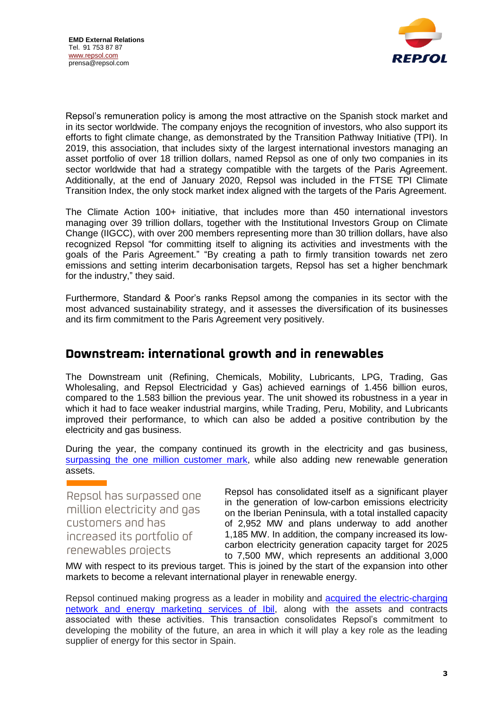

Repsol's remuneration policy is among the most attractive on the Spanish stock market and in its sector worldwide. The company enjoys the recognition of investors, who also support its efforts to fight climate change, as demonstrated by the Transition Pathway Initiative (TPI). In 2019, this association, that includes sixty of the largest international investors managing an asset portfolio of over 18 trillion dollars, named Repsol as one of only two companies in its sector worldwide that had a strategy compatible with the targets of the Paris Agreement. Additionally, at the end of January 2020, Repsol was included in the FTSE TPI Climate Transition Index, the only stock market index aligned with the targets of the Paris Agreement.

The Climate Action 100+ initiative, that includes more than 450 international investors managing over 39 trillion dollars, together with the Institutional Investors Group on Climate Change (IIGCC), with over 200 members representing more than 30 trillion dollars, have also recognized Repsol "for committing itself to aligning its activities and investments with the goals of the Paris Agreement." "By creating a path to firmly transition towards net zero emissions and setting interim decarbonisation targets, Repsol has set a higher benchmark for the industry," they said.

Furthermore, Standard & Poor's ranks Repsol among the companies in its sector with the most advanced sustainability strategy, and it assesses the diversification of its businesses and its firm commitment to the Paris Agreement very positively.

## **Downstream: international growth and in renewables**

The Downstream unit (Refining, Chemicals, Mobility, Lubricants, LPG, Trading, Gas Wholesaling, and Repsol Electricidad y Gas) achieved earnings of 1.456 billion euros, compared to the 1.583 billion the previous year. The unit showed its robustness in a year in which it had to face weaker industrial margins, while Trading, Peru, Mobility, and Lubricants improved their performance, to which can also be added a positive contribution by the electricity and gas business.

During the year, the company continued its growth in the electricity and gas business, [surpassing the one million customer](https://www.repsol.com/en/press-room/press-releases/2019/repsol-passes-the-one-million-electricity-and-gas-customer-mark.cshtml) mark, while also adding new renewable generation assets.

Repsol has surpassed one million electricity and gas customers and has increased its portfolio of renewables projects

Repsol has consolidated itself as a significant player in the generation of low-carbon emissions electricity on the Iberian Peninsula, with a total installed capacity of 2,952 MW and plans underway to add another 1,185 MW. In addition, the company increased its lowcarbon electricity generation capacity target for 2025 to 7,500 MW, which represents an additional 3,000

MW with respect to its previous target. This is joined by the start of the expansion into other markets to become a relevant international player in renewable energy.

Repsol continued making progress as a leader in mobility and **acquired the electric-charging** [network and energy marketing services of Ibil,](https://www.repsol.com/en/press-room/press-releases/2019/repsol-and-ibil-strengthen-their-position-in-electric-vehicle-charging.cshtml) along with the assets and contracts associated with these activities. This transaction consolidates Repsol's commitment to developing the mobility of the future, an area in which it will play a key role as the leading supplier of energy for this sector in Spain.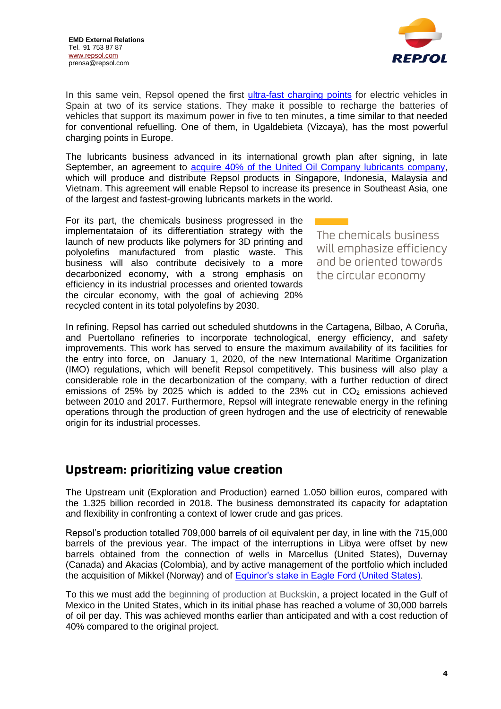

In this same vein, Repsol opened the first [ultra-fast charging points](https://www.repsol.com/en/press-room/press-releases/2019/repsol-opens-the-most-powerful-electric-vehicle-charging-station-in-europe.cshtml) for electric vehicles in Spain at two of its service stations. They make it possible to recharge the batteries of vehicles that support its maximum power in five to ten minutes, a time similar to that needed for conventional refuelling. One of them, in Ugaldebieta (Vizcaya), has the most powerful charging points in Europe.

The lubricants business advanced in its international growth plan after signing, in late September, an agreement to [acquire 40% of the United Oil Company lubricants company,](https://www.repsol.com/en/press-room/press-releases/2019/repsol-boosts-its-asian-expansion-with-the-purchase-of-40-of-united-oil-company.cshtml) which will produce and distribute Repsol products in Singapore, Indonesia, Malaysia and Vietnam. This agreement will enable Repsol to increase its presence in Southeast Asia, one of the largest and fastest-growing lubricants markets in the world.

For its part, the chemicals business progressed in the implementataion of its differentiation strategy with the launch of new products like polymers for 3D printing and polyolefins manufactured from plastic waste. This business will also contribute decisively to a more decarbonized economy, with a strong emphasis on efficiency in its industrial processes and oriented towards the circular economy, with the goal of achieving 20% recycled content in its total polyolefins by 2030.

The chemicals business will emphasize efficiency and be oriented towards the circular economy

In refining, Repsol has carried out scheduled shutdowns in the Cartagena, Bilbao, A Coruña, and Puertollano refineries to incorporate technological, energy efficiency, and safety improvements. This work has served to ensure the maximum availability of its facilities for the entry into force, on January 1, 2020, of the new International Maritime Organization (IMO) regulations, which will benefit Repsol competitively. This business will also play a considerable role in the decarbonization of the company, with a further reduction of direct emissions of 25% by 2025 which is added to the 23% cut in  $CO<sub>2</sub>$  emissions achieved between 2010 and 2017. Furthermore, Repsol will integrate renewable energy in the refining operations through the production of green hydrogen and the use of electricity of renewable origin for its industrial processes.

## **Upstream: prioritizing value creation**

The Upstream unit (Exploration and Production) earned 1.050 billion euros, compared with the 1.325 billion recorded in 2018. The business demonstrated its capacity for adaptation and flexibility in confronting a context of lower crude and gas prices.

Repsol's production totalled 709,000 barrels of oil equivalent per day, in line with the 715,000 barrels of the previous year. The impact of the interruptions in Libya were offset by new barrels obtained from the connection of wells in Marcellus (United States), Duvernay (Canada) and Akacias (Colombia), and by active management of the portfolio which included the acquisition of Mikkel (Norway) and of [Equinor's stake in Eagle Ford \(United States\).](https://www.repsol.com/en/press-room/press-releases/2019/repsol-buys-equinor-stake-in-eagle-ford.cshtml)

To this we must add the beginning of production at Buckskin, a project located in the Gulf of Mexico in the United States, which in its initial phase has reached a volume of 30,000 barrels of oil per day. This was achieved months earlier than anticipated and with a cost reduction of 40% compared to the original project.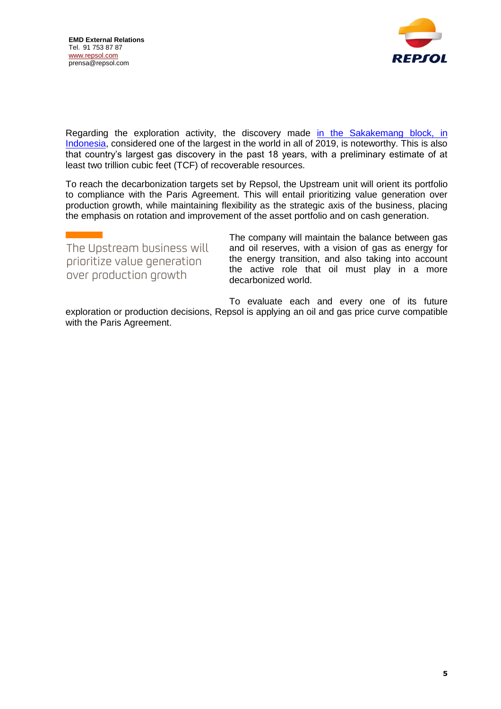

Regarding the exploration activity, the discovery made in the Sakakemang block, in [Indonesia,](https://www.repsol.com/en/press-room/press-releases/2019/repsol-makes-largest-gas-discovery-indonesia-past-eighteen-years.cshtml) considered one of the largest in the world in all of 2019, is noteworthy. This is also that country's largest gas discovery in the past 18 years, with a preliminary estimate of at least two trillion cubic feet (TCF) of recoverable resources.

To reach the decarbonization targets set by Repsol, the Upstream unit will orient its portfolio to compliance with the Paris Agreement. This will entail prioritizing value generation over production growth, while maintaining flexibility as the strategic axis of the business, placing the emphasis on rotation and improvement of the asset portfolio and on cash generation.

| The Upstream business will  | The company will maintain the balance between gas<br>and oil reserves, with a vision of gas as energy for |
|-----------------------------|-----------------------------------------------------------------------------------------------------------|
| prioritize value generation | the energy transition, and also taking into account<br>the active role that oil must play in a more       |
| over production growth      | decarbonized world.                                                                                       |

To evaluate each and every one of its future exploration or production decisions, Repsol is applying an oil and gas price curve compatible with the Paris Agreement.